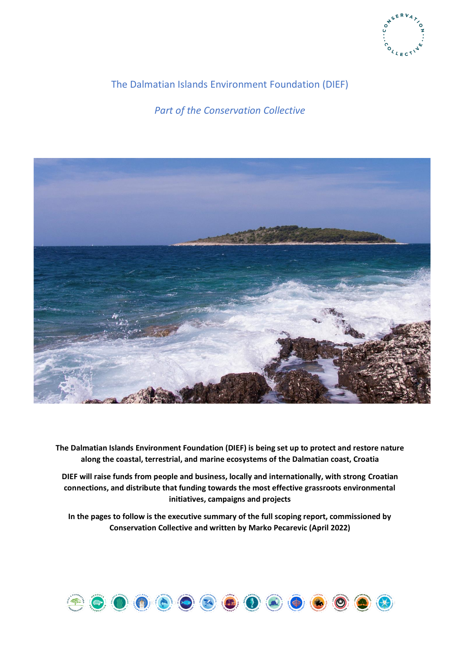

# The Dalmatian Islands Environment Foundation (DIEF)

*Part of the Conservation Collective*



**The Dalmatian Islands Environment Foundation (DIEF) is being set up to protect and restore nature along the coastal, terrestrial, and marine ecosystems of the Dalmatian coast, Croatia**

**DIEF will raise funds from people and business, locally and internationally, with strong Croatian connections, and distribute that funding towards the most effective grassroots environmental initiatives, campaigns and projects**

**In the pages to follow is the executive summary of the full scoping report, commissioned by Conservation Collective and written by Marko Pecarevic (April 2022)**

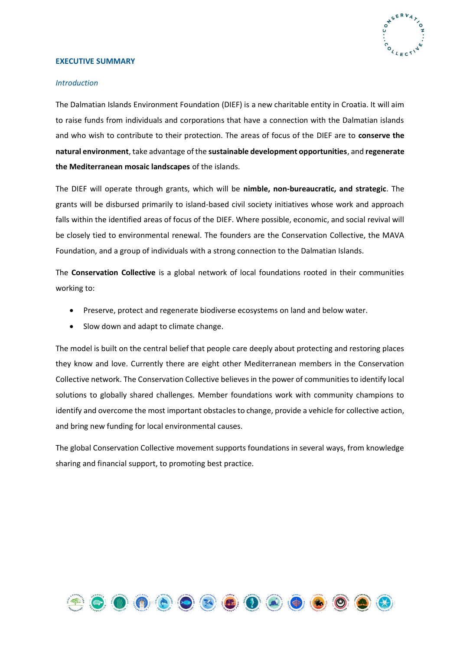

#### **EXECUTIVE SUMMARY**

#### *Introduction*

The Dalmatian Islands Environment Foundation (DIEF) is a new charitable entity in Croatia. It will aim to raise funds from individuals and corporations that have a connection with the Dalmatian islands and who wish to contribute to their protection. The areas of focus of the DIEF are to **conserve the natural environment**, take advantage of the **sustainable development opportunities**, and **regenerate the Mediterranean mosaic landscapes** of the islands.

The DIEF will operate through grants, which will be **nimble, non-bureaucratic, and strategic**. The grants will be disbursed primarily to island-based civil society initiatives whose work and approach falls within the identified areas of focus of the DIEF. Where possible, economic, and social revival will be closely tied to environmental renewal. The founders are the Conservation Collective, the MAVA Foundation, and a group of individuals with a strong connection to the Dalmatian Islands.

The **Conservation Collective** is a global network of local foundations rooted in their communities working to:

- Preserve, protect and regenerate biodiverse ecosystems on land and below water.
- Slow down and adapt to climate change.

The model is built on the central belief that people care deeply about protecting and restoring places they know and love. Currently there are eight other Mediterranean members in the Conservation Collective network. The Conservation Collective believes in the power of communities to identify local solutions to globally shared challenges. Member foundations work with community champions to identify and overcome the most important obstacles to change, provide a vehicle for collective action, and bring new funding for local environmental causes.

The global Conservation Collective movement supports foundations in several ways, from knowledge sharing and financial support, to promoting best practice.

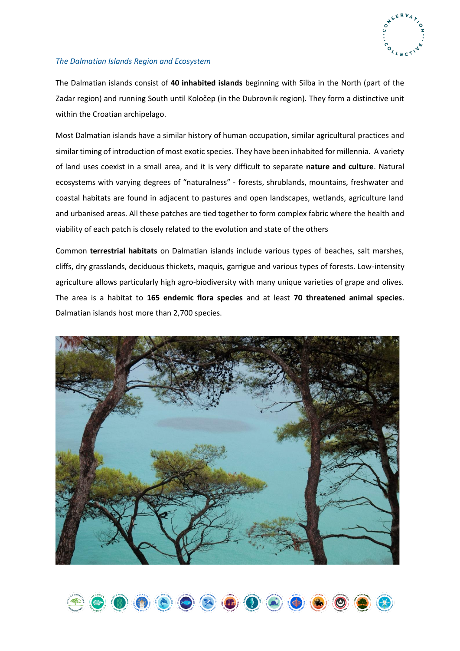

# *The Dalmatian Islands Region and Ecosystem*

The Dalmatian islands consist of **40 inhabited islands** beginning with Silba in the North (part of the Zadar region) and running South until Koločep (in the Dubrovnik region). They form a distinctive unit within the Croatian archipelago.

Most Dalmatian islands have a similar history of human occupation, similar agricultural practices and similar timing of introduction of most exotic species. They have been inhabited for millennia. A variety of land uses coexist in a small area, and it is very difficult to separate **nature and culture**. Natural ecosystems with varying degrees of "naturalness" - forests, shrublands, mountains, freshwater and coastal habitats are found in adjacent to pastures and open landscapes, wetlands, agriculture land and urbanised areas. All these patches are tied together to form complex fabric where the health and viability of each patch is closely related to the evolution and state of the others

Common **terrestrial habitats** on Dalmatian islands include various types of beaches, salt marshes, cliffs, dry grasslands, deciduous thickets, maquis, garrigue and various types of forests. Low-intensity agriculture allows particularly high agro-biodiversity with many unique varieties of grape and olives. The area is a habitat to **165 endemic flora species** and at least **70 threatened animal species**. Dalmatian islands host more than 2,700 species.



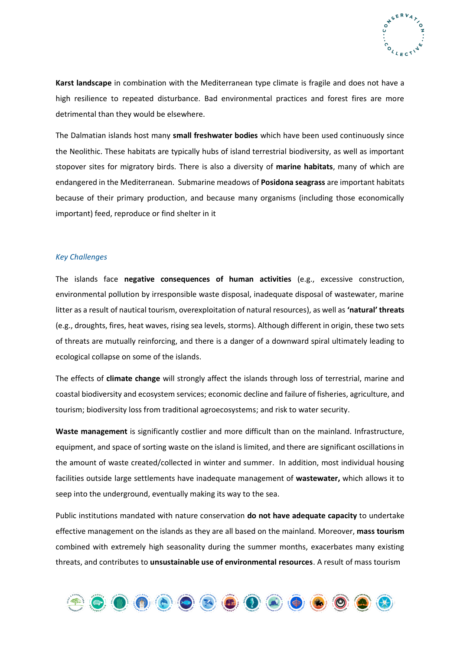

**Karst landscape** in combination with the Mediterranean type climate is fragile and does not have a high resilience to repeated disturbance. Bad environmental practices and forest fires are more detrimental than they would be elsewhere.

The Dalmatian islands host many **small freshwater bodies** which have been used continuously since the Neolithic. These habitats are typically hubs of island terrestrial biodiversity, as well as important stopover sites for migratory birds. There is also a diversity of **marine habitats**, many of which are endangered in the Mediterranean. Submarine meadows of **Posidona seagrass** are important habitats because of their primary production, and because many organisms (including those economically important) feed, reproduce or find shelter in it

#### *Key Challenges*

The islands face **negative consequences of human activities** (e.g., excessive construction, environmental pollution by irresponsible waste disposal, inadequate disposal of wastewater, marine litter as a result of nautical tourism, overexploitation of natural resources), as well as **'natural' threats** (e.g., droughts, fires, heat waves, rising sea levels, storms). Although different in origin, these two sets of threats are mutually reinforcing, and there is a danger of a downward spiral ultimately leading to ecological collapse on some of the islands.

The effects of **climate change** will strongly affect the islands through loss of terrestrial, marine and coastal biodiversity and ecosystem services; economic decline and failure of fisheries, agriculture, and tourism; biodiversity loss from traditional agroecosystems; and risk to water security.

**Waste management** is significantly costlier and more difficult than on the mainland. Infrastructure, equipment, and space of sorting waste on the island is limited, and there are significant oscillations in the amount of waste created/collected in winter and summer. In addition, most individual housing facilities outside large settlements have inadequate management of **wastewater,** which allows it to seep into the underground, eventually making its way to the sea.

Public institutions mandated with nature conservation **do not have adequate capacity** to undertake effective management on the islands as they are all based on the mainland. Moreover, **mass tourism** combined with extremely high seasonality during the summer months, exacerbates many existing threats, and contributes to **unsustainable use of environmental resources**. A result of mass tourism

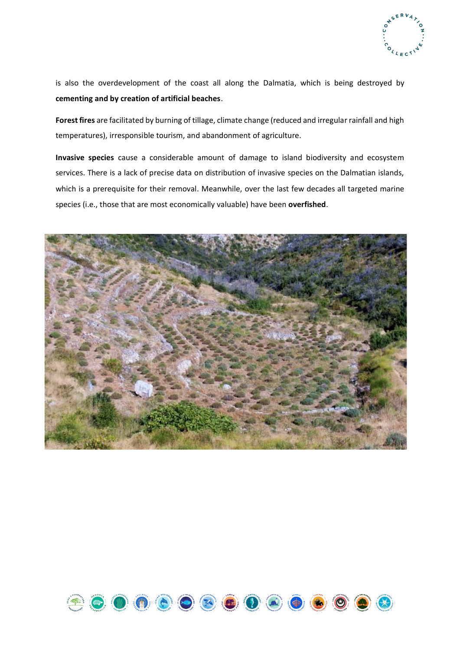

is also the overdevelopment of the coast all along the Dalmatia, which is being destroyed by **cementing and by creation of artificial beaches**.

**Forest fires** are facilitated by burning of tillage, climate change (reduced and irregular rainfall and high temperatures), irresponsible tourism, and abandonment of agriculture.

**Invasive species** cause a considerable amount of damage to island biodiversity and ecosystem services. There is a lack of precise data on distribution of invasive species on the Dalmatian islands, which is a prerequisite for their removal. Meanwhile, over the last few decades all targeted marine species (i.e., those that are most economically valuable) have been **overfished**.



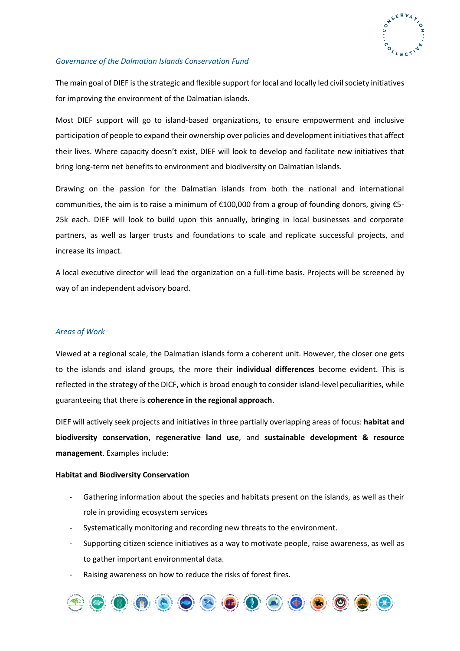

# *Governance of the Dalmatian Islands Conservation Fund*

The main goal of DIEF is the strategic and flexible support for local and locally led civil society initiatives for improving the environment of the Dalmatian islands.

Most DIEF support will go to island-based organizations, to ensure empowerment and inclusive participation of people to expand their ownership over policies and development initiatives that affect their lives. Where capacity doesn't exist, DIEF will look to develop and facilitate new initiatives that bring long-term net benefits to environment and biodiversity on Dalmatian Islands.

Drawing on the passion for the Dalmatian islands from both the national and international communities, the aim is to raise a minimum of  $\epsilon$ 100,000 from a group of founding donors, giving  $\epsilon$ 5-25k each. DIEF will look to build upon this annually, bringing in local businesses and corporate partners, as well as larger trusts and foundations to scale and replicate successful projects, and increase its impact.

A local executive director will lead the organization on a full-time basis. Projects will be screened by way of an independent advisory board.

# *Areas of Work*

Viewed at a regional scale, the Dalmatian islands form a coherent unit. However, the closer one gets to the islands and island groups, the more their **individual differences** become evident. This is reflected in the strategy of the DICF, which is broad enough to consider island-level peculiarities, while guaranteeing that there is **coherence in the regional approach**.

DIEF will actively seek projects and initiatives in three partially overlapping areas of focus: **habitat and biodiversity conservation**, **regenerative land use**, and **sustainable development & resource management**. Examples include:

# **Habitat and Biodiversity Conservation**

- Gathering information about the species and habitats present on the islands, as well as their role in providing ecosystem services
- Systematically monitoring and recording new threats to the environment.
- Supporting citizen science initiatives as a way to motivate people, raise awareness, as well as to gather important environmental data.
- Raising awareness on how to reduce the risks of forest fires.

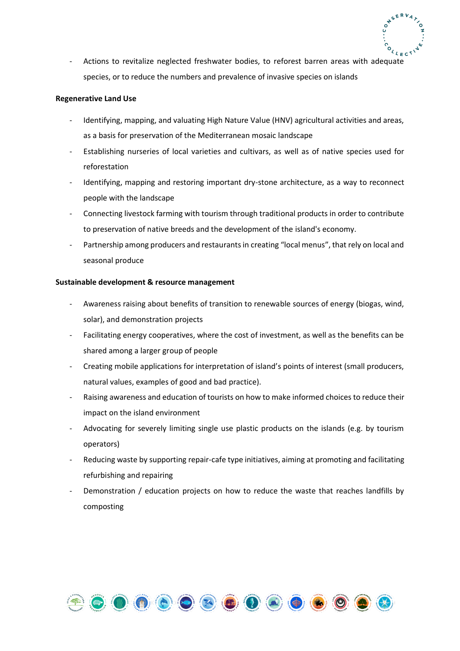

- Actions to revitalize neglected freshwater bodies, to reforest barren areas with adequate species, or to reduce the numbers and prevalence of invasive species on islands

# **Regenerative Land Use**

- Identifying, mapping, and valuating High Nature Value (HNV) agricultural activities and areas, as a basis for preservation of the Mediterranean mosaic landscape
- Establishing nurseries of local varieties and cultivars, as well as of native species used for reforestation
- Identifying, mapping and restoring important dry-stone architecture, as a way to reconnect people with the landscape
- Connecting livestock farming with tourism through traditional products in order to contribute to preservation of native breeds and the development of the island's economy.
- Partnership among producers and restaurants in creating "local menus", that rely on local and seasonal produce

#### **Sustainable development & resource management**

- Awareness raising about benefits of transition to renewable sources of energy (biogas, wind, solar), and demonstration projects
- Facilitating energy cooperatives, where the cost of investment, as well as the benefits can be shared among a larger group of people
- Creating mobile applications for interpretation of island's points of interest (small producers, natural values, examples of good and bad practice).
- Raising awareness and education of tourists on how to make informed choices to reduce their impact on the island environment
- Advocating for severely limiting single use plastic products on the islands (e.g. by tourism operators)
- Reducing waste by supporting repair-cafe type initiatives, aiming at promoting and facilitating refurbishing and repairing
- Demonstration / education projects on how to reduce the waste that reaches landfills by composting